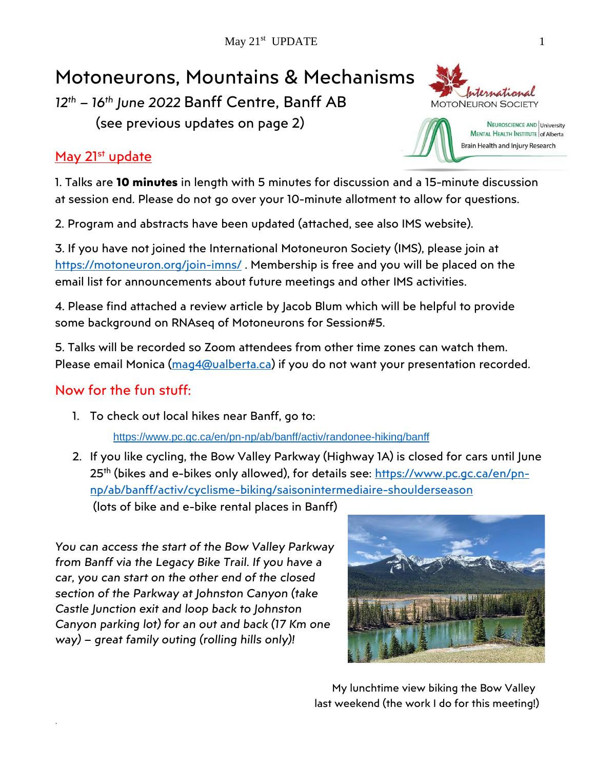# Motoneurons, Mountains & Mechanisms

*12th – 16th June 2022* Banff Centre, Banff AB

(see previous updates on page 2)

## May 21st update

1. Talks are **10 minutes** in length with 5 minutes for discussion and a 15-minute discussion at session end. Please do not go over your 10-minute allotment to allow for questions.

2. Program and abstracts have been updated (attached, see also IMS website).

3. If you have not joined the International Motoneuron Society (IMS), please join at <https://motoneuron.org/join-imns/>. Membership is free and you will be placed on the email list for announcements about future meetings and other IMS activities.

4. Please find attached a review article by Jacob Blum which will be helpful to provide some background on RNAseq of Motoneurons for Session#5.

5. Talks will be recorded so Zoom attendees from other time zones can watch them. Please email Monica [\(mag4@ualberta.ca\)](mailto:mag4@ualberta.ca) if you do not want your presentation recorded.

## Now for the fun stuff:

.

1. To check out local hikes near Banff, go to:

<https://www.pc.gc.ca/en/pn-np/ab/banff/activ/randonee-hiking/banff>

2. If you like cycling, the Bow Valley Parkway (Highway 1A) is closed for cars until June 25<sup>th</sup> (bikes and e-bikes only allowed), for details see: <u>https://www.pc.gc.ca/en/pn-</u> [np/ab/banff/activ/cyclisme-biking/saisonintermediaire-shoulderseason](https://www.pc.gc.ca/en/pn-np/ab/banff/activ/cyclisme-biking/saisonintermediaire-shoulderseason) (lots of bike and e-bike rental places in Banff)

*You can access the start of the Bow Valley Parkway from Banff via the Legacy Bike Trail. If you have a car, you can start on the other end of the closed section of the Parkway at Johnston Canyon (take Castle Junction exit and loop back to Johnston Canyon parking lot) for an out and back (17 Km one way) – great family outing (rolling hills only)!*







Brain Health and Injury Research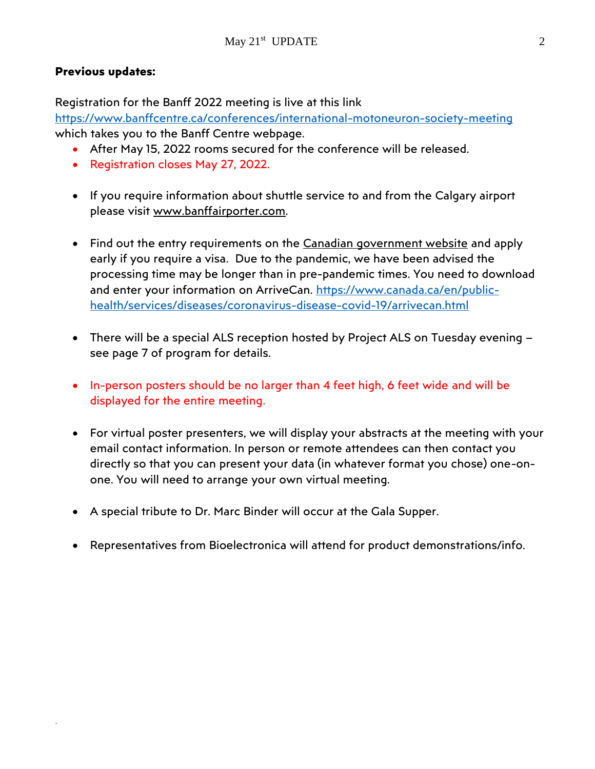#### **Previous updates:**

.

Registration for the Banff 2022 meeting is live at this link

<https://www.banffcentre.ca/conferences/international-motoneuron-society-meeting> which takes you to the Banff Centre webpage.

- After May 15, 2022 rooms secured for the conference will be released.
- Registration closes May 27, 2022.
- If you require information about shuttle service to and from the Calgary airport please visit [www.banffairporter.com.](http://www.banffairporter.com/)
- Find out the entry requirements on the [Canadian government website](https://t.e2ma.net/click/uq9x9k/afvz9i/qj52zhb) and apply early if you require a visa. Due to the pandemic, we have been advised the processing time may be longer than in pre-pandemic times. You need to download and enter your information on ArriveCan. [https://www.canada.ca/en/public](https://www.canada.ca/en/public-health/services/diseases/coronavirus-disease-covid-19/arrivecan.html)[health/services/diseases/coronavirus-disease-covid-19/arrivecan.html](https://www.canada.ca/en/public-health/services/diseases/coronavirus-disease-covid-19/arrivecan.html)
- There will be a special ALS reception hosted by Project ALS on Tuesday evening see page 7 of program for details.
- In-person posters should be no larger than 4 feet high, 6 feet wide and will be displayed for the entire meeting.
- For virtual poster presenters, we will display your abstracts at the meeting with your email contact information. In person or remote attendees can then contact you directly so that you can present your data (in whatever format you chose) one-onone. You will need to arrange your own virtual meeting.
- A special tribute to Dr. Marc Binder will occur at the Gala Supper.
- Representatives from Bioelectronica will attend for product demonstrations/info.